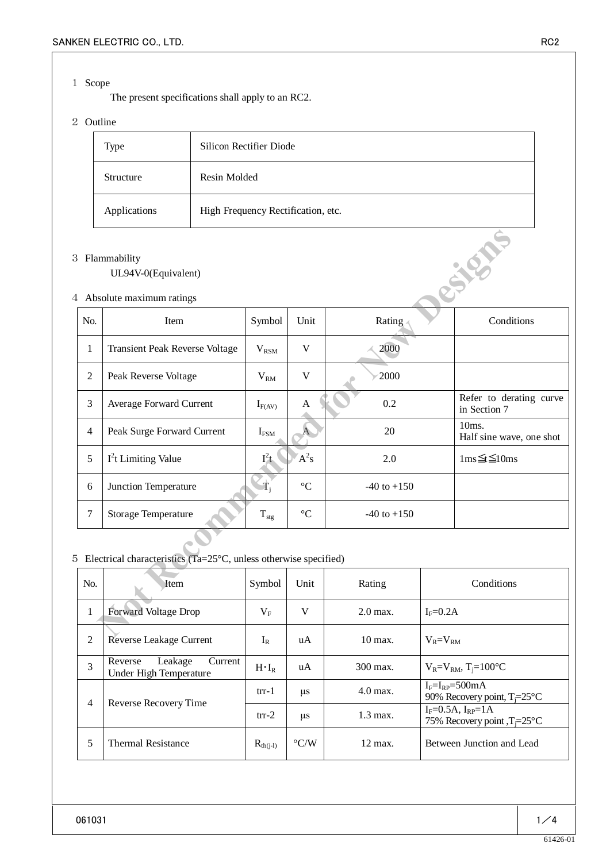#### 1 Scope

The present specifications shall apply to an RC2.

# 2 Outline

| Type         | Silicon Rectifier Diode            |
|--------------|------------------------------------|
| Structure    | Resin Molded                       |
| Applications | High Frequency Rectification, etc. |

## 3 Flammability

### UL94V-0(Equivalent)

#### 4 Absolute maximum ratings

|                                                                             | <b>B</b> Flammability<br>UL94V-0(Equivalent)<br>4 Absolute maximum ratings |                |                 |                        |                           | SIER                                    |  |  |
|-----------------------------------------------------------------------------|----------------------------------------------------------------------------|----------------|-----------------|------------------------|---------------------------|-----------------------------------------|--|--|
| No.                                                                         | Item                                                                       | Symbol         | Unit            | Rating                 |                           | Conditions                              |  |  |
| 1                                                                           | <b>Transient Peak Reverse Voltage</b>                                      | $V_{\rm RSM}$  | $\mathbf V$     | 2000                   |                           |                                         |  |  |
| $\overline{2}$                                                              | Peak Reverse Voltage                                                       | $V_{RM}$       | V               | 2000                   |                           |                                         |  |  |
| 3                                                                           | Average Forward Current                                                    | $I_{F(AV)}$    | $\mathbf{A}$    | 0.2                    |                           | Refer to derating curve<br>in Section 7 |  |  |
| $\overline{4}$                                                              | Peak Surge Forward Current                                                 | $I_{FSM}$      | A               | 20                     |                           | 10ms.<br>Half sine wave, one shot       |  |  |
| 5                                                                           | $I^2$ t Limiting Value                                                     | $I^2t$         | $A^2s$          | 2.0                    |                           | $1ms \leq \leq 10ms$                    |  |  |
| 6                                                                           | Junction Temperature                                                       | $\mathbf{T_i}$ | $\rm ^{\circ}C$ | $-40$ to $+150$        |                           |                                         |  |  |
| $\tau$                                                                      | Storage Temperature                                                        | $T_{\rm stg}$  | $\rm ^{\circ}C$ | $-40$ to $+150$        |                           |                                         |  |  |
| Electrical characteristics (Ta= $25^{\circ}$ C, unless otherwise specified) |                                                                            |                |                 |                        |                           |                                         |  |  |
| No.                                                                         | Item                                                                       | Symbol         | Unit            | Rating                 |                           | Conditions                              |  |  |
| 1                                                                           | Forward Voltage Drop                                                       | $V_{F}$        | V               | 2.0 max.               | $I_F = 0.2A$              |                                         |  |  |
| <sup>-</sup>                                                                | $\mathbf{D}$<br>anaa Laabaaa $\alpha$                                      | т.             | - A             | $10.44 \times 10^{-7}$ | $\mathbf{V}$ $\mathbf{V}$ |                                         |  |  |

## 5 Electrical characteristics (Ta=25°C, unless otherwise specified)

| No.            | Item                                                    | Symbol        | Unit               | Rating                | Conditions                                                            |
|----------------|---------------------------------------------------------|---------------|--------------------|-----------------------|-----------------------------------------------------------------------|
| $\mathbf{I}$   | <b>Forward Voltage Drop</b>                             |               | V                  | $2.0$ max.            | $I_F = 0.2A$                                                          |
| 2              | Reverse Leakage Current                                 | $I_R$         | uA                 | $10 \,\mathrm{max}$ . | $V_R = V_{RM}$                                                        |
| $\overline{3}$ | Leakage<br>Reverse<br>Current<br>Under High Temperature | $H \cdot I_R$ | uA                 | 300 max.              | $V_R = V_{RM}$ , T <sub>i</sub> =100°C                                |
| 4              | Reverse Recovery Time                                   | $trr-1$       | μs                 | $4.0$ max.            | $I_F = I_{RP} = 500$ mA<br>90% Recovery point, $T = 25^{\circ}C$      |
|                |                                                         | $trr-2$       | $\mu$ s            | $1.3$ max.            | $I_F = 0.5A$ , $I_{RP} = 1A$<br>75% Recovery point, $T = 25^{\circ}C$ |
| 5              | <b>Thermal Resistance</b>                               | $R_{th(j-l)}$ | $\rm ^{\circ} C/W$ | $12 \text{ max}$ .    | Between Junction and Lead                                             |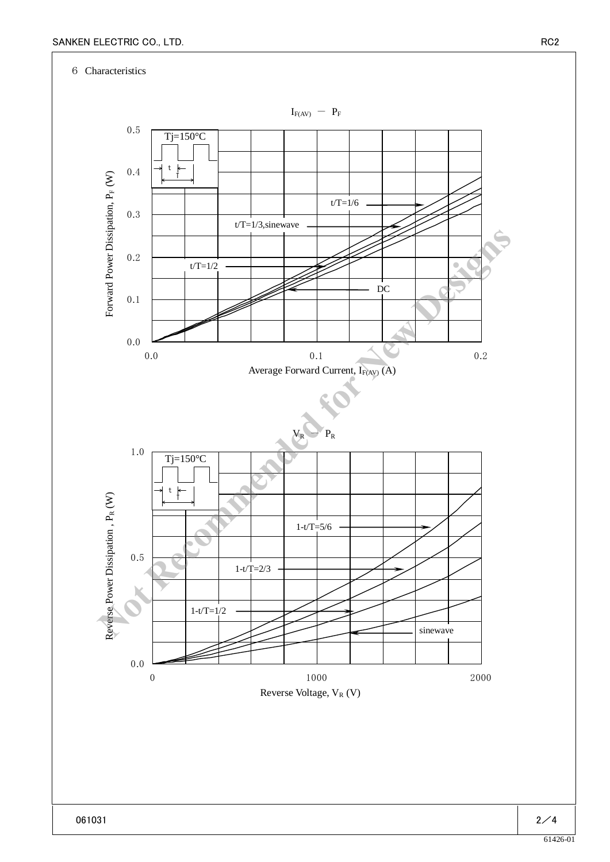### 6 Characteristics

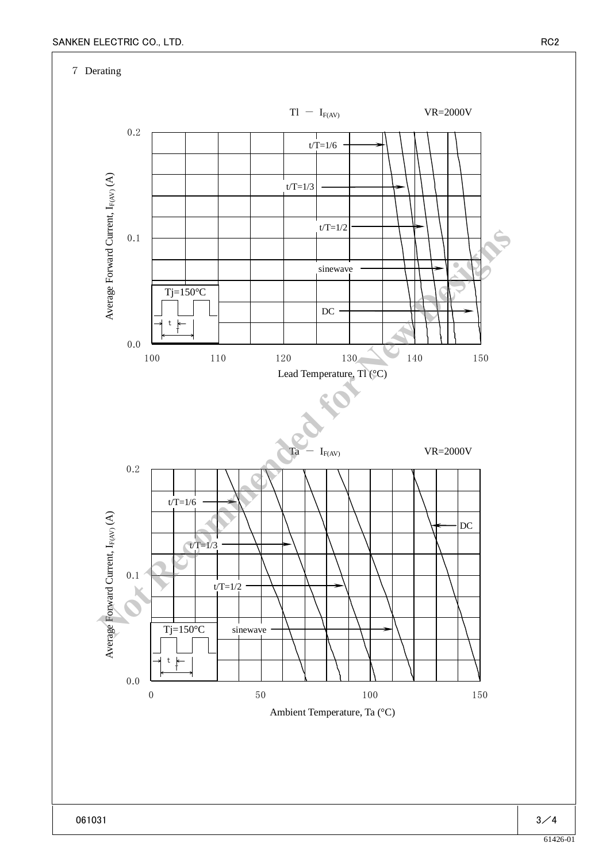7 Derating